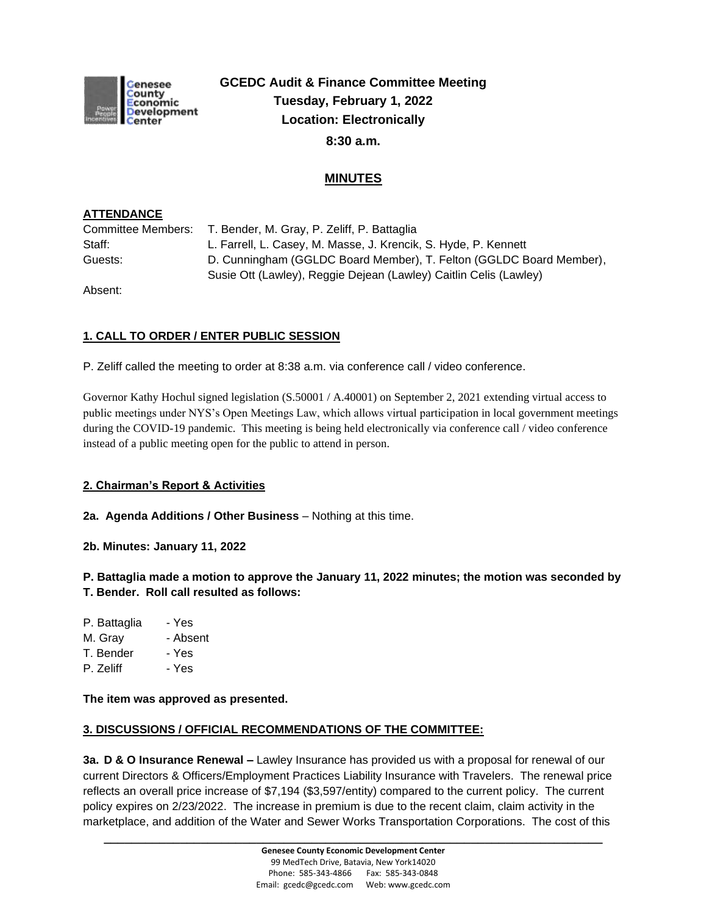

# **GCEDC Audit & Finance Committee Meeting Tuesday, February 1, 2022 Location: Electronically 8:30 a.m.**

# **MINUTES**

## **ATTENDANCE**

| Committee Members: | T. Bender, M. Gray, P. Zeliff, P. Battaglia                         |  |
|--------------------|---------------------------------------------------------------------|--|
| Staff:             | L. Farrell, L. Casey, M. Masse, J. Krencik, S. Hyde, P. Kennett     |  |
| Guests:            | D. Cunningham (GGLDC Board Member), T. Felton (GGLDC Board Member), |  |
|                    | Susie Ott (Lawley), Reggie Dejean (Lawley) Caitlin Celis (Lawley)   |  |

Absent:

# **1. CALL TO ORDER / ENTER PUBLIC SESSION**

P. Zeliff called the meeting to order at 8:38 a.m. via conference call / video conference.

Governor Kathy Hochul signed legislation (S.50001 / A.40001) on September 2, 2021 extending virtual access to public meetings under NYS's Open Meetings Law, which allows virtual participation in local government meetings during the COVID-19 pandemic. This meeting is being held electronically via conference call / video conference instead of a public meeting open for the public to attend in person.

#### **2. Chairman's Report & Activities**

**2a. Agenda Additions / Other Business** – Nothing at this time.

**2b. Minutes: January 11, 2022**

**P. Battaglia made a motion to approve the January 11, 2022 minutes; the motion was seconded by T. Bender. Roll call resulted as follows:**

- P. Battaglia Yes
- M. Gray Absent
- T. Bender Yes
- P. Zeliff Yes

#### **The item was approved as presented.**

#### **3. DISCUSSIONS / OFFICIAL RECOMMENDATIONS OF THE COMMITTEE:**

**3a. D & O Insurance Renewal –** Lawley Insurance has provided us with a proposal for renewal of our current Directors & Officers/Employment Practices Liability Insurance with Travelers. The renewal price reflects an overall price increase of \$7,194 (\$3,597/entity) compared to the current policy. The current policy expires on 2/23/2022. The increase in premium is due to the recent claim, claim activity in the marketplace, and addition of the Water and Sewer Works Transportation Corporations. The cost of this

**\_\_\_\_\_\_\_\_\_\_\_\_\_\_\_\_\_\_\_\_\_\_\_\_\_\_\_\_\_\_\_\_\_\_\_\_\_\_\_\_\_\_\_\_\_\_\_\_\_\_\_\_\_\_\_\_\_\_\_\_\_\_\_\_\_\_\_\_\_\_\_\_**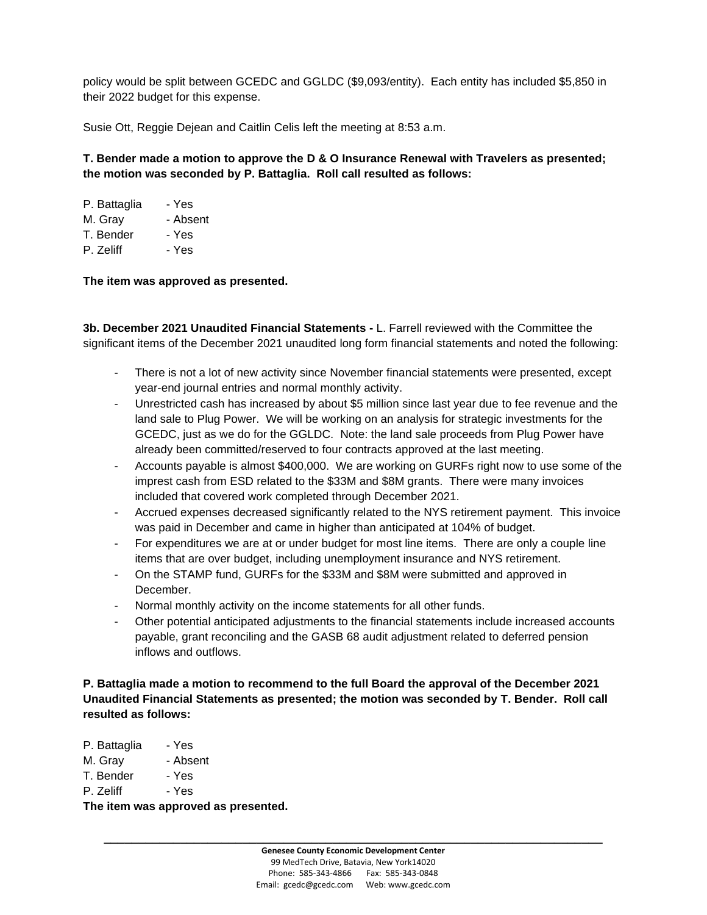policy would be split between GCEDC and GGLDC (\$9,093/entity). Each entity has included \$5,850 in their 2022 budget for this expense.

Susie Ott, Reggie Dejean and Caitlin Celis left the meeting at 8:53 a.m.

## **T. Bender made a motion to approve the D & O Insurance Renewal with Travelers as presented; the motion was seconded by P. Battaglia. Roll call resulted as follows:**

| P. Battaglia | - Yes    |
|--------------|----------|
| M. Gray      | - Absent |
| T. Bender    | - Yes    |
| P. Zeliff    | - Yes    |

**The item was approved as presented.**

**3b. December 2021 Unaudited Financial Statements -** L. Farrell reviewed with the Committee the significant items of the December 2021 unaudited long form financial statements and noted the following:

- There is not a lot of new activity since November financial statements were presented, except year-end journal entries and normal monthly activity.
- Unrestricted cash has increased by about \$5 million since last year due to fee revenue and the land sale to Plug Power. We will be working on an analysis for strategic investments for the GCEDC, just as we do for the GGLDC. Note: the land sale proceeds from Plug Power have already been committed/reserved to four contracts approved at the last meeting.
- Accounts payable is almost \$400,000. We are working on GURFs right now to use some of the imprest cash from ESD related to the \$33M and \$8M grants. There were many invoices included that covered work completed through December 2021.
- Accrued expenses decreased significantly related to the NYS retirement payment. This invoice was paid in December and came in higher than anticipated at 104% of budget.
- For expenditures we are at or under budget for most line items. There are only a couple line items that are over budget, including unemployment insurance and NYS retirement.
- On the STAMP fund, GURFs for the \$33M and \$8M were submitted and approved in December.
- Normal monthly activity on the income statements for all other funds.
- Other potential anticipated adjustments to the financial statements include increased accounts payable, grant reconciling and the GASB 68 audit adjustment related to deferred pension inflows and outflows.

**P. Battaglia made a motion to recommend to the full Board the approval of the December 2021 Unaudited Financial Statements as presented; the motion was seconded by T. Bender. Roll call resulted as follows:**

- M. Gray Absent
- T. Bender Yes
- P. Zeliff Yes

**The item was approved as presented.**

**\_\_\_\_\_\_\_\_\_\_\_\_\_\_\_\_\_\_\_\_\_\_\_\_\_\_\_\_\_\_\_\_\_\_\_\_\_\_\_\_\_\_\_\_\_\_\_\_\_\_\_\_\_\_\_\_\_\_\_\_\_\_\_\_\_\_\_\_\_\_\_\_**